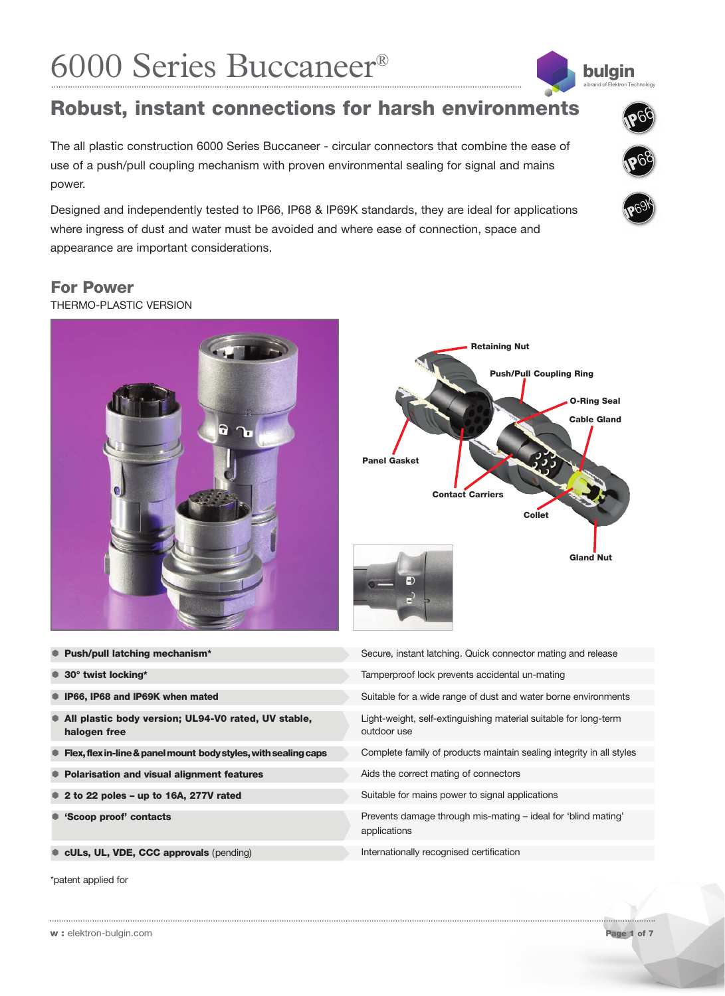# 6000 Series Buccaneer®

## **Robust, instant connections for harsh environments**

The all plastic construction 6000 Series Buccaneer - circular connectors that combine the ease of use of a push/pull coupling mechanism with proven environmental sealing for signal and mains power.

Designed and independently tested to IP66, IP68 & IP69K standards, they are ideal for applications where ingress of dust and water must be avoided and where ease of connection, space and appearance are important considerations.

## **For Power**

THERMO-PLASTIC VERSION





| ● Push/pull latching mechanism*                                           | Secure, instant latching. Quick connector mating and release                    |
|---------------------------------------------------------------------------|---------------------------------------------------------------------------------|
| $\bullet$ 30° twist locking*                                              | Tamperproof lock prevents accidental un-mating                                  |
| <b>IP66, IP68 and IP69K when mated</b>                                    | Suitable for a wide range of dust and water borne environments                  |
| • All plastic body version; UL94-V0 rated, UV stable,<br>halogen free     | Light-weight, self-extinguishing material suitable for long-term<br>outdoor use |
| $\bullet$ Flex, flex in-line & panel mount body styles, with sealing caps | Complete family of products maintain sealing integrity in all styles            |
| ● Polarisation and visual alignment features                              | Aids the correct mating of connectors                                           |
| $\bullet$ 2 to 22 poles - up to 16A, 277V rated                           | Suitable for mains power to signal applications                                 |
| ● 'Scoop proof' contacts                                                  | Prevents damage through mis-mating – ideal for 'blind mating'<br>applications   |
| cULs, UL, VDE, CCC approvals (pending)                                    | Internationally recognised certification                                        |

\*patent applied for



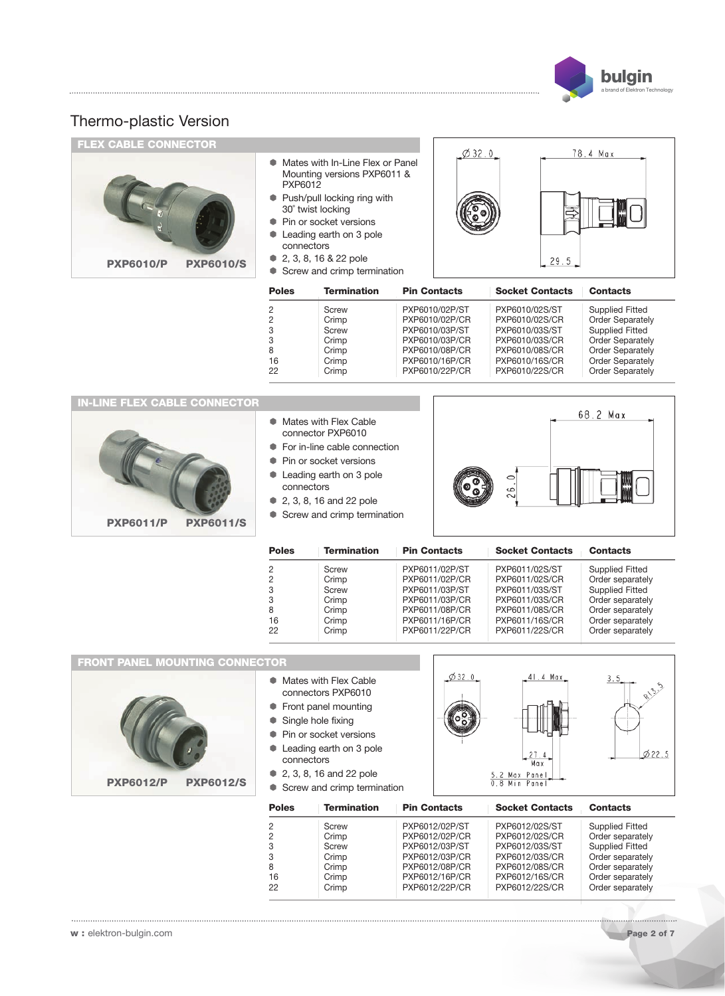

| <b>FLEX CABLE CONNECTOR</b>          |                                                                                                                                                                                                                                                               |                                                             | $\phi$ 32.0                                                                                                                |                                                                                                                            | 78.4 Max                                                                                                                                                                                |
|--------------------------------------|---------------------------------------------------------------------------------------------------------------------------------------------------------------------------------------------------------------------------------------------------------------|-------------------------------------------------------------|----------------------------------------------------------------------------------------------------------------------------|----------------------------------------------------------------------------------------------------------------------------|-----------------------------------------------------------------------------------------------------------------------------------------------------------------------------------------|
| <b>PXP6010/S</b><br><b>PXP6010/P</b> | Mates with In-Line Flex or Panel<br>Mounting versions PXP6011 &<br>PXP6012<br>• Push/pull locking ring with<br>30° twist locking<br>Pin or socket versions<br>Leading earth on 3 pole<br>connectors<br>2, 3, 8, 16 & 22 pole<br>• Screw and crimp termination |                                                             |                                                                                                                            | 29.5                                                                                                                       |                                                                                                                                                                                         |
|                                      | <b>Poles</b>                                                                                                                                                                                                                                                  | <b>Termination</b>                                          | <b>Pin Contacts</b>                                                                                                        | <b>Socket Contacts</b>                                                                                                     | <b>Contacts</b>                                                                                                                                                                         |
|                                      | 2<br>$\overline{c}$<br>3<br>3<br>8<br>16<br>22                                                                                                                                                                                                                | Screw<br>Crimp<br>Screw<br>Crimp<br>Crimp<br>Crimp<br>Crimp | PXP6010/02P/ST<br>PXP6010/02P/CR<br>PXP6010/03P/ST<br>PXP6010/03P/CR<br>PXP6010/08P/CR<br>PXP6010/16P/CR<br>PXP6010/22P/CR | PXP6010/02S/ST<br>PXP6010/02S/CR<br>PXP6010/03S/ST<br>PXP6010/03S/CR<br>PXP6010/08S/CR<br>PXP6010/16S/CR<br>PXP6010/22S/CR | <b>Supplied Fitted</b><br><b>Order Separately</b><br><b>Supplied Fitted</b><br><b>Order Separately</b><br><b>Order Separately</b><br><b>Order Separately</b><br><b>Order Separately</b> |
| <b>IN-LINE FLEX CABLE CONNECTOR</b>  |                                                                                                                                                                                                                                                               |                                                             |                                                                                                                            |                                                                                                                            |                                                                                                                                                                                         |
|                                      |                                                                                                                                                                                                                                                               | Mates with Flex Cable<br>connector PXP6010                  |                                                                                                                            |                                                                                                                            | 68.2 Max                                                                                                                                                                                |





| <b>Poles</b> | <b>Termination</b> | <b>Pin Contacts</b> | <b>Socket Contacts</b> | <b>Contacts</b>        |
|--------------|--------------------|---------------------|------------------------|------------------------|
| 2            | Screw              | PXP6011/02P/ST      | PXP6011/02S/ST         | <b>Supplied Fitted</b> |
|              | Crimp              | PXP6011/02P/CR      | PXP6011/02S/CR         | Order separately       |
|              | Screw              | PXP6011/03P/ST      | PXP6011/03S/ST         | <b>Supplied Fitted</b> |
|              | Crimp              | PXP6011/03P/CR      | PXP6011/03S/CR         | Order separately       |
| 8            | Crimp              | PXP6011/08P/CR      | PXP6011/08S/CR         | Order separately       |
| 16           | Crimp              | PXP6011/16P/CR      | PXP6011/16S/CR         | Order separately       |
| 22           | Crimp              | PXP6011/22P/CR      | PXP6011/22S/CR         | Order separately       |

**FRONT PANEL MOUNTING CONNECTOR** $$32.0$ 41.4 Max **RI3.5 Mates with Flex Cable**  $3.5$ connectors PXP6010 Front panel mounting Single hole fixing **Pin or socket versions** Leading earth on 3 pole  $0.22.5$  $27$  $\Lambda$ connectors Max **2. 3. 8. 16 and 22 pole** 5.2 Max Pane<br>0.8 Min Pane **PXP6012/P PXP6012/S** Screw and crimp termination **Poles Termination Pin Contacts Socket Contacts Contacts** 2 Screw PXP6012/02P/ST PXP6012/02S/ST Supplied Fitted<br>2 Crimp PXP6012/02P/CR PXP6012/02S/CR Order separately 2 Crimp PXP6012/02P/CR PXP6012/02S/CR Order separately<br>3 Screw PXP6012/03P/ST PXP6012/03S/ST Supplied Fitted 3 Screw PXP6012/03P/ST PXP6012/03S/ST Supplied Fitted<br>3 Crimp PXP6012/03P/CR PXP6012/03S/CR Order separately 3 Crimp PXP6012/03P/CR PXP6012/03S/CR<br>8 Crimp PXP6012/08P/CR PXP6012/08S/CR 8 Crimp PXP6012/08P/CR PXP6012/08S/CR Order separately<br>16 Crimp PXP6012/16P/CR PXP6012/16S/CR Order separately 16 Crimp PXP6012/16P/CR PXP6012/16S/CR Order separately<br>22 Crimp PXP6012/22P/CR PXP6012/22S/CR Order separately 2. 22 Drawn Press, 2012

.................................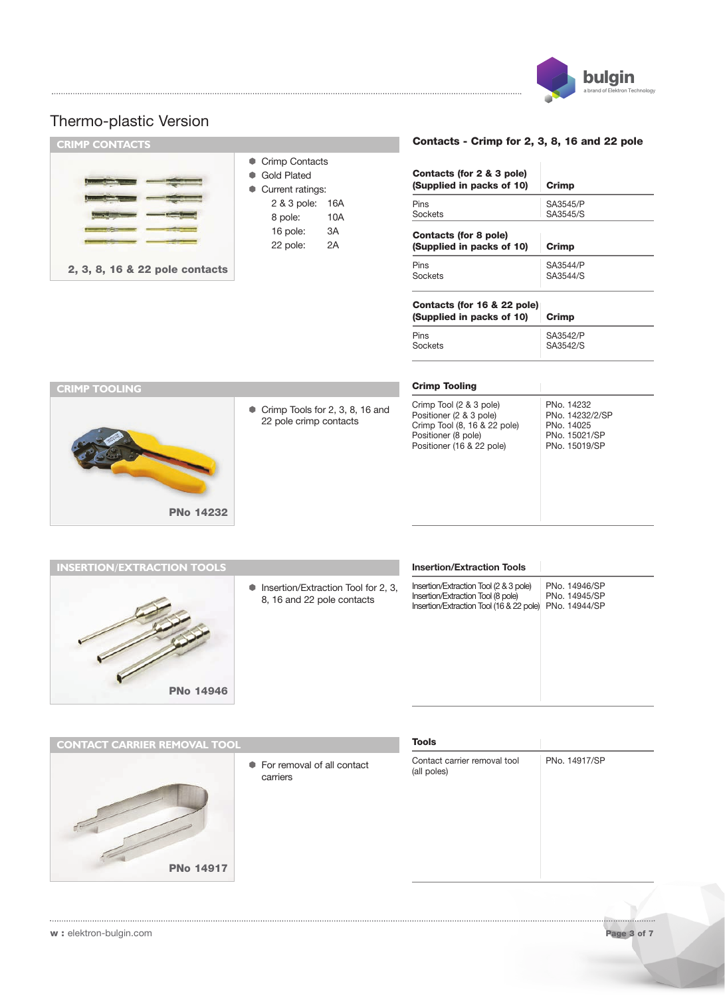

| <b>CRIMP CONTACTS</b>          |                                                            |            | <b>Contacts - Crimp</b>                          |
|--------------------------------|------------------------------------------------------------|------------|--------------------------------------------------|
|                                | • Crimp Contacts<br><b>Gold Plated</b><br>Current ratings: |            | Contacts (for 2 & 3<br>(Supplied in packs        |
|                                | 2 & 3 pole:<br>8 pole:                                     | 16A<br>10A | <b>Pins</b><br>Sockets                           |
|                                | 16 pole:<br>22 pole:                                       | 3A<br>2A   | <b>Contacts (for 8 pol</b><br>(Supplied in packs |
| 2, 3, 8, 16 & 22 pole contacts |                                                            |            | Pins<br>Sockets                                  |
|                                |                                                            |            |                                                  |

#### **Contacts - Crimp for 2, 3, 8, 16 and 22 pole**

| Contacts (for 2 & 3 pole)<br>(Supplied in packs of 10)   | Crimp    |  |  |
|----------------------------------------------------------|----------|--|--|
| Pins                                                     | SA3545/P |  |  |
| Sockets                                                  | SA3545/S |  |  |
| Contacts (for 8 pole)<br>(Supplied in packs of 10)       | Crimp    |  |  |
| Pins                                                     | SA3544/P |  |  |
| Sockets                                                  | SA3544/S |  |  |
| Contacts (for 16 & 22 pole)<br>(Supplied in packs of 10) | Crimp    |  |  |
| Pins                                                     | SA3542/P |  |  |
| Sockets                                                  | SA3542/S |  |  |



Crimp Tools for 2, 3, 8, 16 and 22 pole crimp contacts

#### **Crimp Tooling**

| Crimp Tool (2 & 3 pole)<br>Positioner (2 & 3 pole) | PNo. 14232<br>PNo. 14232/2/SP |
|----------------------------------------------------|-------------------------------|
| Crimp Tool (8, 16 & 22 pole)                       | PNo. 14025<br>PNo. 15021/SP   |
| Positioner (8 pole)<br>Positioner (16 & 22 pole)   | PNo. 15019/SP                 |



Insertion/Extraction Tool for 2, 3, 8, 16 and 22 pole contacts

#### **Insertion/Extraction Tools**

Insertion/Extraction Tool (2 & 3 pole) PNo. 14946/SP Insertion/Extraction Tool (8 pole) PNo. 14945/SP Insertion/Extraction Tool (16 & 22 pole) PNo. 14944/SP

**PNo 14917 CONTACT CARRIER REMOVAL TOOL**

 For removal of all contact carriers

#### **Tools**

Contact carrier removal tool PNo. 14917/SP (all poles)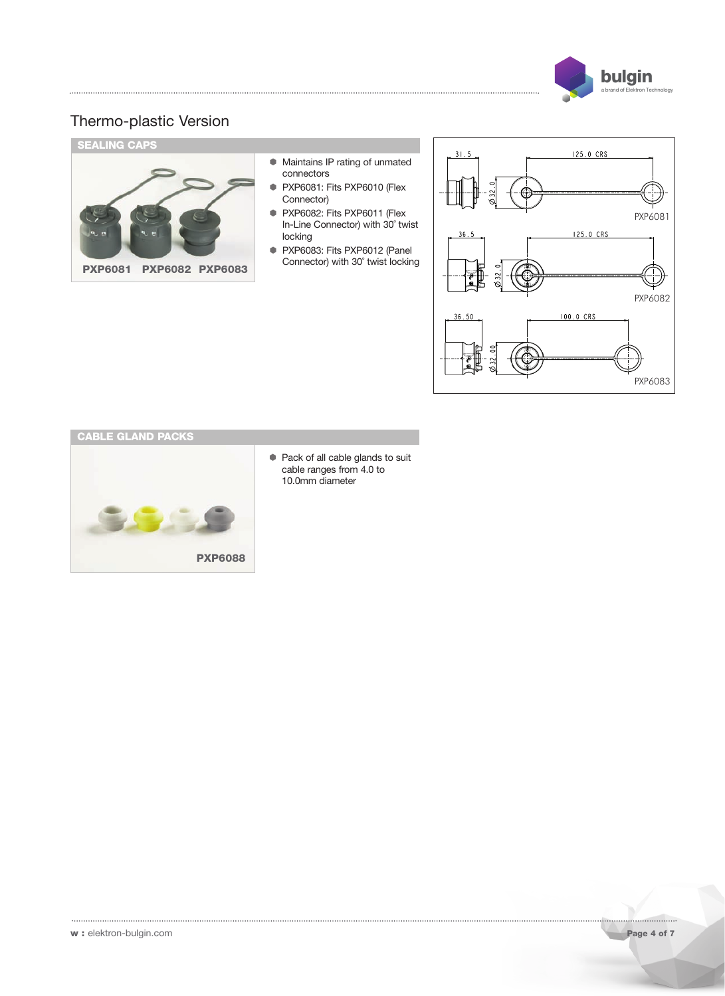

PXP6083

## Thermo-plastic Version





 Pack of all cable glands to suit cable ranges from 4.0 to 10.0mm diameter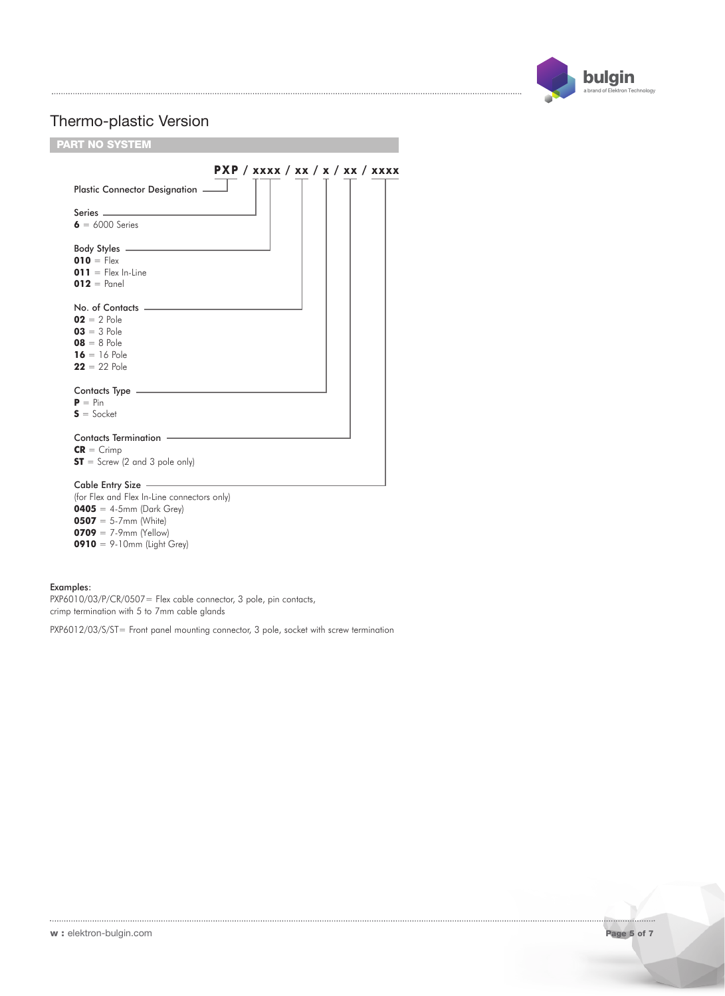

## **P X P / x x x x / x x /x/ x x / x x x x PART NO SYSTEM** Plastic Connector Designation Series. **6** = 6000 Series Body Styles **010** =  $F$  $|e \times$ **011** = Flex In-Line **012** = Panel No. of Contacts  **Pole**  $03 = 3$  Pole **08** = 8 Pole **16** = 16 Pole **22** = 22 Pole Contacts Type  $P = Pin$ **S** = Socket Contacts Termination **CR** = Crimp  $ST =$  Screw (2 and 3 pole only) Cable Entry Size (for Flex and Flex In-Line connectors only) **0405** = 4-5mm (Dark Grey) **0507** = 5-7mm (White) **0709** =  $7.9$ mm (Yellow) **0910** = 9-10mm (Light Grey)

#### Examples:

PXP6010/03/P/CR/0507= Flex cable connector, 3 pole, pin contacts, crimp termination with 5 to 7mm cable glands

PXP6012/03/S/ST= Front panel mounting connector, 3 pole, socket with screw termination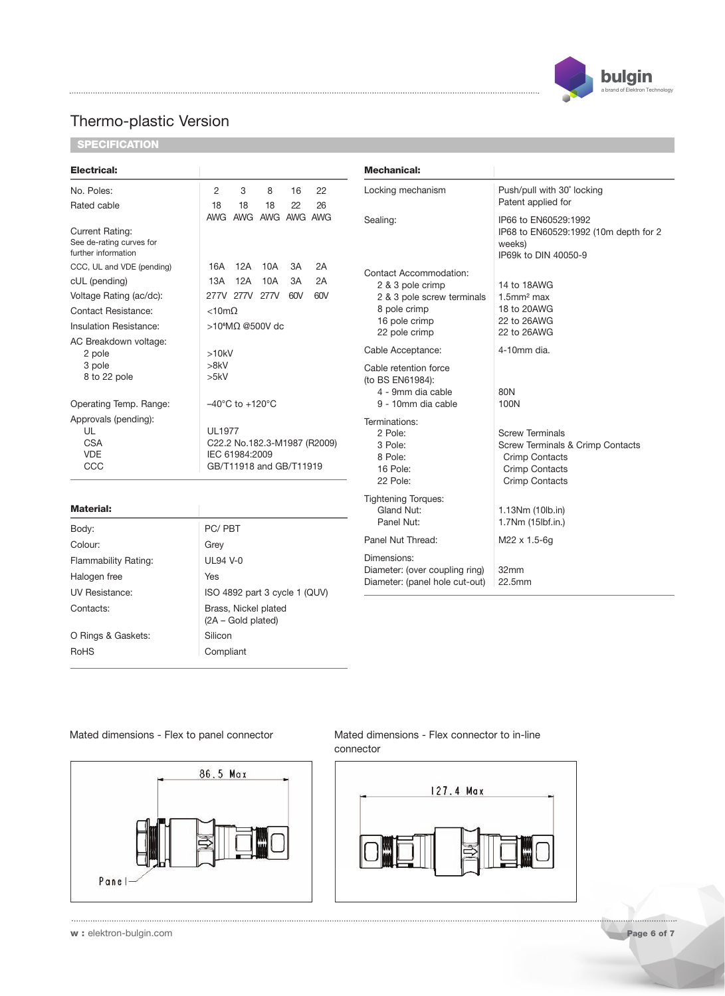

**SPECIFICATION**

| Electrical:                                                               |                                                                                            | <b>Mechanical:</b>                                                     |                                                                                                                                |
|---------------------------------------------------------------------------|--------------------------------------------------------------------------------------------|------------------------------------------------------------------------|--------------------------------------------------------------------------------------------------------------------------------|
| No. Poles:                                                                | 2<br>3<br>8<br>16<br>22                                                                    | Locking mechanism                                                      | Push/pull with 30° locking                                                                                                     |
| Rated cable                                                               | 26<br>18<br>18<br>18<br>22                                                                 |                                                                        | Patent applied for                                                                                                             |
| <b>Current Rating:</b><br>See de-rating curves for<br>further information | <b>AWG</b><br>AWG AWG AWG<br><b>AWG</b>                                                    | Sealing:                                                               | IP66 to EN60529:1992<br>IP68 to EN60529:1992 (10m depth for 2<br>weeks)<br>IP69k to DIN 40050-9                                |
| CCC, UL and VDE (pending)                                                 | 12A<br>10A<br>2A<br>16A<br>3A                                                              | Contact Accommodation:                                                 |                                                                                                                                |
| cUL (pending)                                                             | 12A<br>13A<br>10A<br>3A<br>2A                                                              | 2 & 3 pole crimp                                                       | 14 to 18AWG                                                                                                                    |
| Voltage Rating (ac/dc):                                                   | 60V<br>277V 277V 277V<br>60V                                                               | 2 & 3 pole screw terminals                                             | $1.5$ mm <sup>2</sup> max                                                                                                      |
| <b>Contact Resistance:</b>                                                | $< 10m\Omega$                                                                              | 8 pole crimp                                                           | 18 to 20AWG                                                                                                                    |
| Insulation Resistance:                                                    | >10 <sup>6</sup> MΩ @500V dc                                                               | 16 pole crimp                                                          | 22 to 26AWG                                                                                                                    |
| AC Breakdown voltage:                                                     |                                                                                            | 22 pole crimp                                                          | 22 to 26AWG                                                                                                                    |
| 2 pole                                                                    | >10kV                                                                                      | Cable Acceptance:                                                      | 4-10mm dia.                                                                                                                    |
| 3 pole<br>8 to 22 pole                                                    | >8kV<br>>5kV                                                                               | Cable retention force<br>(to BS EN61984):                              |                                                                                                                                |
| Operating Temp. Range:                                                    | $-40^{\circ}$ C to $+120^{\circ}$ C                                                        | 4 - 9mm dia cable<br>9 - 10mm dia cable                                | 80N<br>100N                                                                                                                    |
| Approvals (pending):<br>UL<br><b>CSA</b><br><b>VDE</b><br>CCC             | <b>UL1977</b><br>C22.2 No.182.3-M1987 (R2009)<br>IEC 61984:2009<br>GB/T11918 and GB/T11919 | Terminations:<br>2 Pole:<br>3 Pole:<br>8 Pole:<br>16 Pole:<br>22 Pole: | <b>Screw Terminals</b><br>Screw Terminals & Crimp Contacts<br><b>Crimp Contacts</b><br>Crimp Contacts<br><b>Crimp Contacts</b> |
|                                                                           |                                                                                            | <b>Tightening Torques:</b>                                             |                                                                                                                                |
| <b>Material:</b>                                                          |                                                                                            | Gland Nut:                                                             | 1.13Nm (10lb.in)                                                                                                               |
| Body:                                                                     | PC/PBT                                                                                     | Panel Nut:                                                             | 1.7Nm (15lbf.in.)                                                                                                              |
| Colour:                                                                   | Grey                                                                                       | Panel Nut Thread:                                                      | M22 x 1.5-6g                                                                                                                   |
| Flammability Rating:                                                      | <b>UL94 V-0</b>                                                                            | Dimensions:<br>Diameter: (over coupling ring)                          | 32mm                                                                                                                           |
| Halogen free                                                              | Yes                                                                                        |                                                                        |                                                                                                                                |
| <b>UV Resistance:</b>                                                     | ISO 4892 part 3 cycle 1 (QUV)                                                              | Diameter: (panel hole cut-out)                                         | 22.5mm                                                                                                                         |
|                                                                           |                                                                                            |                                                                        |                                                                                                                                |
| Contacts:                                                                 | Brass, Nickel plated                                                                       |                                                                        |                                                                                                                                |

### Mated dimensions - Flex to panel connector Mated dimensions - Flex connector to in-line

O Rings & Gaskets: Silicon RoHS Compliant



(2A – Gold plated)

connector



**w :** elektron-bulgin.com **Page 6 of 7**